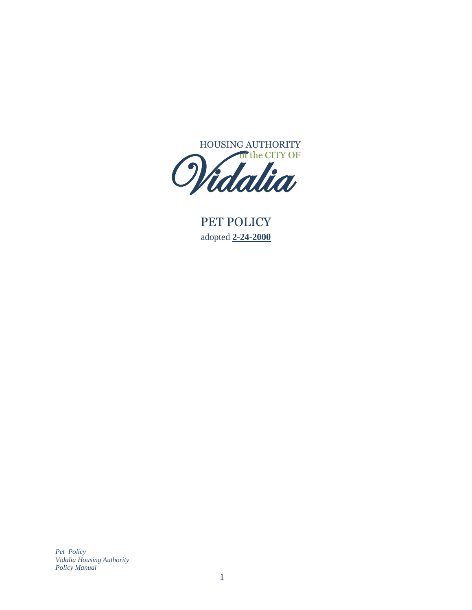

PET POLICY adopted **2-24-2000**  $P($ 

*Pet Policy Vidalia Housing Authority Policy Manual*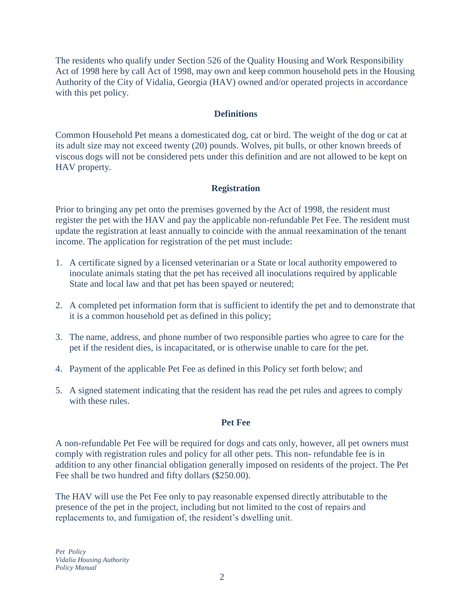The residents who qualify under Section 526 of the Quality Housing and Work Responsibility Act of 1998 here by call Act of 1998, may own and keep common household pets in the Housing Authority of the City of Vidalia, Georgia (HAV) owned and/or operated projects in accordance with this pet policy.

# **Definitions**

Common Household Pet means a domesticated dog, cat or bird. The weight of the dog or cat at its adult size may not exceed twenty (20) pounds. Wolves, pit bulls, or other known breeds of viscous dogs will not be considered pets under this definition and are not allowed to be kept on HAV property.

### **Registration**

Prior to bringing any pet onto the premises governed by the Act of 1998, the resident must register the pet with the HAV and pay the applicable non-refundable Pet Fee. The resident must update the registration at least annually to coincide with the annual reexamination of the tenant income. The application for registration of the pet must include:

- 1. A certificate signed by a licensed veterinarian or a State or local authority empowered to inoculate animals stating that the pet has received all inoculations required by applicable State and local law and that pet has been spayed or neutered;
- 2. A completed pet information form that is sufficient to identify the pet and to demonstrate that it is a common household pet as defined in this policy;
- 3. The name, address, and phone number of two responsible parties who agree to care for the pet if the resident dies, is incapacitated, or is otherwise unable to care for the pet.
- 4. Payment of the applicable Pet Fee as defined in this Policy set forth below; and
- 5. A signed statement indicating that the resident has read the pet rules and agrees to comply with these rules.

### **Pet Fee**

A non-refundable Pet Fee will be required for dogs and cats only, however, all pet owners must comply with registration rules and policy for all other pets. This non- refundable fee is in addition to any other financial obligation generally imposed on residents of the project. The Pet Fee shall be two hundred and fifty dollars (\$250.00).

The HAV will use the Pet Fee only to pay reasonable expensed directly attributable to the presence of the pet in the project, including but not limited to the cost of repairs and replacements to, and fumigation of, the resident's dwelling unit.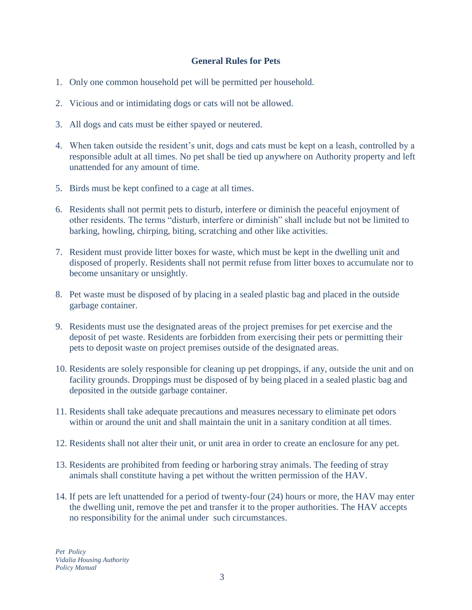### **General Rules for Pets**

- 1. Only one common household pet will be permitted per household.
- 2. Vicious and or intimidating dogs or cats will not be allowed.
- 3. All dogs and cats must be either spayed or neutered.
- 4. When taken outside the resident's unit, dogs and cats must be kept on a leash, controlled by a responsible adult at all times. No pet shall be tied up anywhere on Authority property and left unattended for any amount of time.
- 5. Birds must be kept confined to a cage at all times.
- 6. Residents shall not permit pets to disturb, interfere or diminish the peaceful enjoyment of other residents. The terms "disturb, interfere or diminish" shall include but not be limited to barking, howling, chirping, biting, scratching and other like activities.
- 7. Resident must provide litter boxes for waste, which must be kept in the dwelling unit and disposed of properly. Residents shall not permit refuse from litter boxes to accumulate nor to become unsanitary or unsightly.
- 8. Pet waste must be disposed of by placing in a sealed plastic bag and placed in the outside garbage container.
- 9. Residents must use the designated areas of the project premises for pet exercise and the deposit of pet waste. Residents are forbidden from exercising their pets or permitting their pets to deposit waste on project premises outside of the designated areas.
- 10. Residents are solely responsible for cleaning up pet droppings, if any, outside the unit and on facility grounds. Droppings must be disposed of by being placed in a sealed plastic bag and deposited in the outside garbage container.
- 11. Residents shall take adequate precautions and measures necessary to eliminate pet odors within or around the unit and shall maintain the unit in a sanitary condition at all times.
- 12. Residents shall not alter their unit, or unit area in order to create an enclosure for any pet.
- 13. Residents are prohibited from feeding or harboring stray animals. The feeding of stray animals shall constitute having a pet without the written permission of the HAV.
- 14. If pets are left unattended for a period of twenty-four (24) hours or more, the HAV may enter the dwelling unit, remove the pet and transfer it to the proper authorities. The HAV accepts no responsibility for the animal under such circumstances.